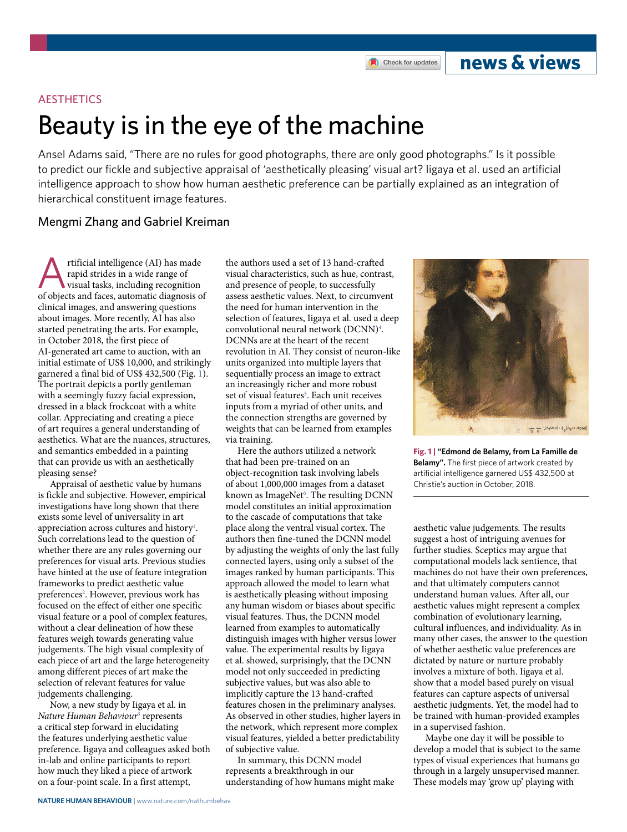Check for updates

## **news & views**

## **AFSTHETICS**

# Beauty is in the eye of the machine

Ansel Adams said, "There are no rules for good photographs, there are only good photographs." Is it possible to predict our fickle and subjective appraisal of 'aesthetically pleasing' visual art? ligaya et al. used an artificial intelligence approach to show how human aesthetic preference can be partially explained as an integration of hierarchical constituent image features.

## Mengmi Zhang and Gabriel Kreiman

rtificial intelligence (AI) has made rapid strides in a wide range of visual tasks, including recognition of objects and faces, automatic diagnosis of clinical images, and answering questions about images. More recently, AI has also started penetrating the arts. For example, in October 2018, the first piece of AI-generated art came to auction, with an initial estimate of US\$ 10,000, and strikingly garnered a final bid of US\$ 432,500 (Fig. [1\)](#page-0-0). The portrait depicts a portly gentleman with a seemingly fuzzy facial expression, dressed in a black frockcoat with a white collar. Appreciating and creating a piece of art requires a general understanding of aesthetics. What are the nuances, structures, and semantics embedded in a painting that can provide us with an aesthetically pleasing sense?

Appraisal of aesthetic value by humans is fickle and subjective. However, empirical investigations have long shown that there exists some level of universality in art appreciation across cultures and history<sup>1</sup>. Such correlations lead to the question of whether there are any rules governing our preferences for visual arts. Previous studies have hinted at the use of feature integration frameworks to predict aesthetic value preferences<sup>2</sup>. However, previous work has focused on the effect of either one specific visual feature or a pool of complex features, without a clear delineation of how these features weigh towards generating value judgements. The high visual complexity of each piece of art and the large heterogeneity among different pieces of art make the selection of relevant features for value judgements challenging.

Now, a new study by Iigaya et al. in *Nature Human Behaviour*[3](#page-1-2) represents a critical step forward in elucidating the features underlying aesthetic value preference. Iigaya and colleagues asked both in-lab and online participants to report how much they liked a piece of artwork on a four-point scale. In a first attempt,

the authors used a set of 13 hand-crafted visual characteristics, such as hue, contrast, and presence of people, to successfully assess aesthetic values. Next, to circumvent the need for human intervention in the selection of features, Iigaya et al. used a deep convolutional neural network (DCNN)<sup>[4](#page-1-3)</sup>. DCNNs are at the heart of the recent revolution in AI. They consist of neuron-like units organized into multiple layers that sequentially process an image to extract an increasingly richer and more robust set of visual features<sup>[5](#page-1-4)</sup>. Each unit receives inputs from a myriad of other units, and the connection strengths are governed by weights that can be learned from examples via training.

Here the authors utilized a network that had been pre-trained on an object-recognition task involving labels of about 1,000,000 images from a dataset known as ImageNet<sup>6</sup>. The resulting DCNN model constitutes an initial approximation to the cascade of computations that take place along the ventral visual cortex. The authors then fine-tuned the DCNN model by adjusting the weights of only the last fully connected layers, using only a subset of the images ranked by human participants. This approach allowed the model to learn what is aesthetically pleasing without imposing any human wisdom or biases about specific visual features. Thus, the DCNN model learned from examples to automatically distinguish images with higher versus lower value. The experimental results by Iigaya et al. showed, surprisingly, that the DCNN model not only succeeded in predicting subjective values, but was also able to implicitly capture the 13 hand-crafted features chosen in the preliminary analyses. As observed in other studies, higher layers in the network, which represent more complex visual features, yielded a better predictability of subjective value.

In summary, this DCNN model represents a breakthrough in our understanding of how humans might make



**Fig. 1 | "Edmond de Belamy, from La Famille de Belamy".** The first piece of artwork created by artificial intelligence garnered US\$ 432,500 at Christie's auction in October, 2018.

<span id="page-0-0"></span>aesthetic value judgements. The results suggest a host of intriguing avenues for further studies. Sceptics may argue that computational models lack sentience, that machines do not have their own preferences, and that ultimately computers cannot understand human values. After all, our aesthetic values might represent a complex combination of evolutionary learning, cultural influences, and individuality. As in many other cases, the answer to the question of whether aesthetic value preferences are dictated by nature or nurture probably involves a mixture of both. Iigaya et al. show that a model based purely on visual features can capture aspects of universal aesthetic judgments. Yet, the model had to be trained with human-provided examples in a supervised fashion.

Maybe one day it will be possible to develop a model that is subject to the same types of visual experiences that humans go through in a largely unsupervised manner. These models may 'grow up' playing with